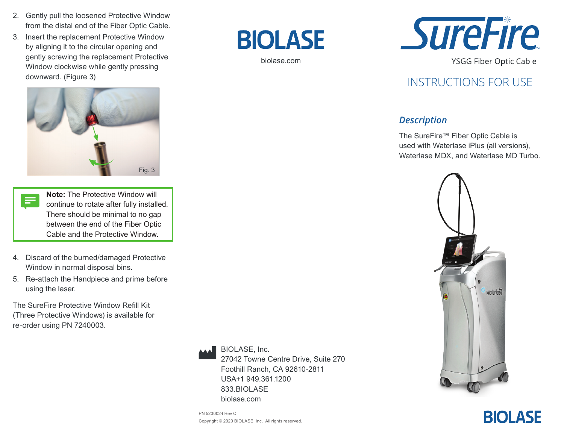- 2. Gently pull the loosened Protective Window from the distal end of the Fiber Optic Cable.
- 3. Insert the replacement Protective Window by aligning it to the circular opening and gently screwing the replacement Protective Window clockwise while gently pressing downward. (Figure 3)



- **Note:** The Protective Window will  $\equiv$ continue to rotate after fully installed. There should be minimal to no gap between the end of the Fiber Optic Cable and the Protective Window.
- 4. Discard of the burned/damaged Protective Window in normal disposal bins.
- 5. Re-attach the Handpiece and prime before using the laser.

The SureFire Protective Window Refill Kit (Three Protective Windows) is available for re-order using PN 7240003.



BIOLASE, Inc. 27042 Towne Centre Drive, Suite 270 Foothill Ranch, CA 92610-2811 USA+1 949.361.1200 833.BIOLASE biolase.com

biolase.com

**BIOLASE** 

PN 5200024 Rev C Copyright © 2020 BIOLASE, Inc. All rights reserved.



**YSGG Fiber Optic Cable** 

## INSTRUCTIONS FOR USE

#### *Description*

The SureFire™ Fiber Optic Cable is used with Waterlase iPlus (all versions), Waterlase MDX, and Waterlase MD Turbo.